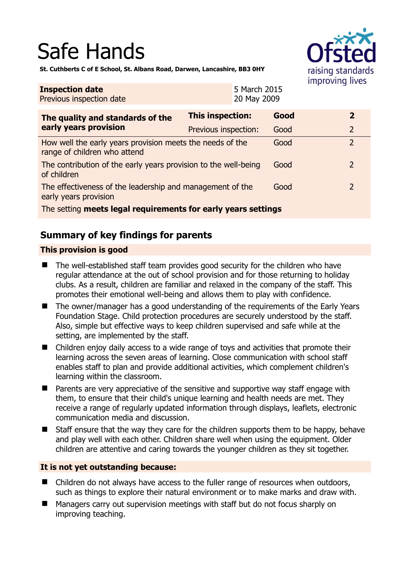# Safe Hands



**St. Cuthberts C of E School, St. Albans Road, Darwen, Lancashire, BB3 0HY** 

| <b>Inspection date</b><br>Previous inspection date                                        |                      | 5 March 2015<br>20 May 2009 |      |  |                |
|-------------------------------------------------------------------------------------------|----------------------|-----------------------------|------|--|----------------|
| The quality and standards of the<br>early years provision                                 | This inspection:     |                             | Good |  | $\overline{2}$ |
|                                                                                           | Previous inspection: |                             | Good |  | $\overline{2}$ |
| How well the early years provision meets the needs of the<br>range of children who attend |                      |                             | Good |  | $\overline{2}$ |
| The contribution of the early years provision to the well-being<br>of children            |                      |                             | Good |  | $\overline{2}$ |
| The effectiveness of the leadership and management of the<br>early years provision        |                      |                             | Good |  | $\overline{2}$ |
| The setting meets legal requirements for early years settings                             |                      |                             |      |  |                |

# **Summary of key findings for parents**

## **This provision is good**

- The well-established staff team provides good security for the children who have regular attendance at the out of school provision and for those returning to holiday clubs. As a result, children are familiar and relaxed in the company of the staff. This promotes their emotional well-being and allows them to play with confidence.
- The owner/manager has a good understanding of the requirements of the Early Years Foundation Stage. Child protection procedures are securely understood by the staff. Also, simple but effective ways to keep children supervised and safe while at the setting, are implemented by the staff.
- Children enjoy daily access to a wide range of toys and activities that promote their learning across the seven areas of learning. Close communication with school staff enables staff to plan and provide additional activities, which complement children's learning within the classroom.
- **Parents are very appreciative of the sensitive and supportive way staff engage with** them, to ensure that their child's unique learning and health needs are met. They receive a range of regularly updated information through displays, leaflets, electronic communication media and discussion.
- Staff ensure that the way they care for the children supports them to be happy, behave and play well with each other. Children share well when using the equipment. Older children are attentive and caring towards the younger children as they sit together.

#### **It is not yet outstanding because:**

- Children do not always have access to the fuller range of resources when outdoors, such as things to explore their natural environment or to make marks and draw with.
- Managers carry out supervision meetings with staff but do not focus sharply on improving teaching.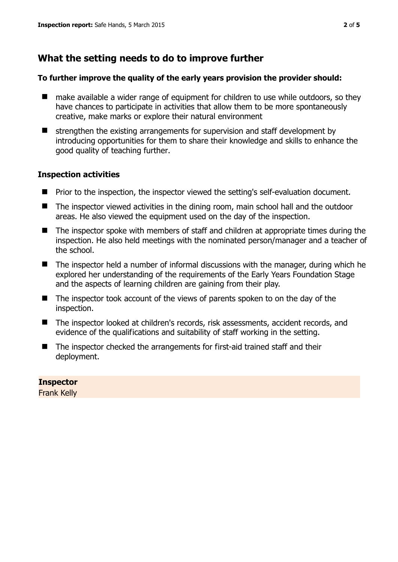# **What the setting needs to do to improve further**

### **To further improve the quality of the early years provision the provider should:**

- make available a wider range of equipment for children to use while outdoors, so they have chances to participate in activities that allow them to be more spontaneously creative, make marks or explore their natural environment
- $\blacksquare$  strengthen the existing arrangements for supervision and staff development by introducing opportunities for them to share their knowledge and skills to enhance the good quality of teaching further.

## **Inspection activities**

- **P** Prior to the inspection, the inspector viewed the setting's self-evaluation document.
- The inspector viewed activities in the dining room, main school hall and the outdoor areas. He also viewed the equipment used on the day of the inspection.
- The inspector spoke with members of staff and children at appropriate times during the inspection. He also held meetings with the nominated person/manager and a teacher of the school.
- The inspector held a number of informal discussions with the manager, during which he explored her understanding of the requirements of the Early Years Foundation Stage and the aspects of learning children are gaining from their play.
- The inspector took account of the views of parents spoken to on the day of the inspection.
- The inspector looked at children's records, risk assessments, accident records, and evidence of the qualifications and suitability of staff working in the setting.
- The inspector checked the arrangements for first-aid trained staff and their deployment.

## **Inspector**

Frank Kelly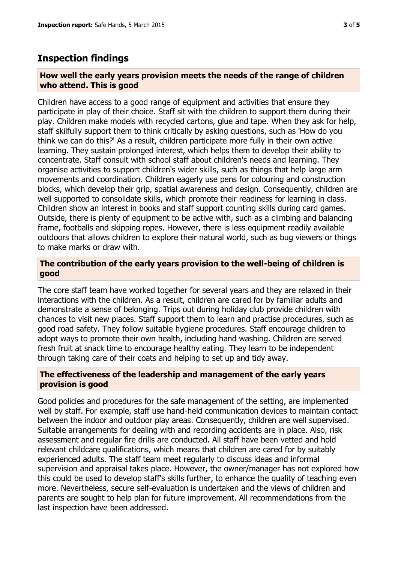## **Inspection findings**

#### **How well the early years provision meets the needs of the range of children who attend. This is good**

Children have access to a good range of equipment and activities that ensure they participate in play of their choice. Staff sit with the children to support them during their play. Children make models with recycled cartons, glue and tape. When they ask for help, staff skilfully support them to think critically by asking questions, such as 'How do you think we can do this?' As a result, children participate more fully in their own active learning. They sustain prolonged interest, which helps them to develop their ability to concentrate. Staff consult with school staff about children's needs and learning. They organise activities to support children's wider skills, such as things that help large arm movements and coordination. Children eagerly use pens for colouring and construction blocks, which develop their grip, spatial awareness and design. Consequently, children are well supported to consolidate skills, which promote their readiness for learning in class. Children show an interest in books and staff support counting skills during card games. Outside, there is plenty of equipment to be active with, such as a climbing and balancing frame, footballs and skipping ropes. However, there is less equipment readily available outdoors that allows children to explore their natural world, such as bug viewers or things to make marks or draw with.

#### **The contribution of the early years provision to the well-being of children is good**

The core staff team have worked together for several years and they are relaxed in their interactions with the children. As a result, children are cared for by familiar adults and demonstrate a sense of belonging. Trips out during holiday club provide children with chances to visit new places. Staff support them to learn and practise procedures, such as good road safety. They follow suitable hygiene procedures. Staff encourage children to adopt ways to promote their own health, including hand washing. Children are served fresh fruit at snack time to encourage healthy eating. They learn to be independent through taking care of their coats and helping to set up and tidy away.

#### **The effectiveness of the leadership and management of the early years provision is good**

Good policies and procedures for the safe management of the setting, are implemented well by staff. For example, staff use hand-held communication devices to maintain contact between the indoor and outdoor play areas. Consequently, children are well supervised. Suitable arrangements for dealing with and recording accidents are in place. Also, risk assessment and regular fire drills are conducted. All staff have been vetted and hold relevant childcare qualifications, which means that children are cared for by suitably experienced adults. The staff team meet regularly to discuss ideas and informal supervision and appraisal takes place. However, the owner/manager has not explored how this could be used to develop staff's skills further, to enhance the quality of teaching even more. Nevertheless, secure self-evaluation is undertaken and the views of children and parents are sought to help plan for future improvement. All recommendations from the last inspection have been addressed.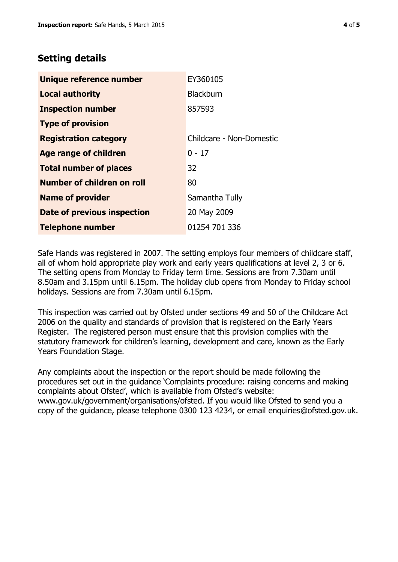# **Setting details**

| Unique reference number       | EY360105                 |  |  |
|-------------------------------|--------------------------|--|--|
| <b>Local authority</b>        | <b>Blackburn</b>         |  |  |
| <b>Inspection number</b>      | 857593                   |  |  |
| <b>Type of provision</b>      |                          |  |  |
| <b>Registration category</b>  | Childcare - Non-Domestic |  |  |
| <b>Age range of children</b>  | $0 - 17$                 |  |  |
| <b>Total number of places</b> | 32                       |  |  |
| Number of children on roll    | 80                       |  |  |
| <b>Name of provider</b>       | Samantha Tully           |  |  |
| Date of previous inspection   | 20 May 2009              |  |  |
| <b>Telephone number</b>       | 01254 701 336            |  |  |

Safe Hands was registered in 2007. The setting employs four members of childcare staff, all of whom hold appropriate play work and early years qualifications at level 2, 3 or 6. The setting opens from Monday to Friday term time. Sessions are from 7.30am until 8.50am and 3.15pm until 6.15pm. The holiday club opens from Monday to Friday school holidays. Sessions are from 7.30am until 6.15pm.

This inspection was carried out by Ofsted under sections 49 and 50 of the Childcare Act 2006 on the quality and standards of provision that is registered on the Early Years Register. The registered person must ensure that this provision complies with the statutory framework for children's learning, development and care, known as the Early Years Foundation Stage.

Any complaints about the inspection or the report should be made following the procedures set out in the guidance 'Complaints procedure: raising concerns and making complaints about Ofsted', which is available from Ofsted's website: www.gov.uk/government/organisations/ofsted. If you would like Ofsted to send you a copy of the guidance, please telephone 0300 123 4234, or email enquiries@ofsted.gov.uk.